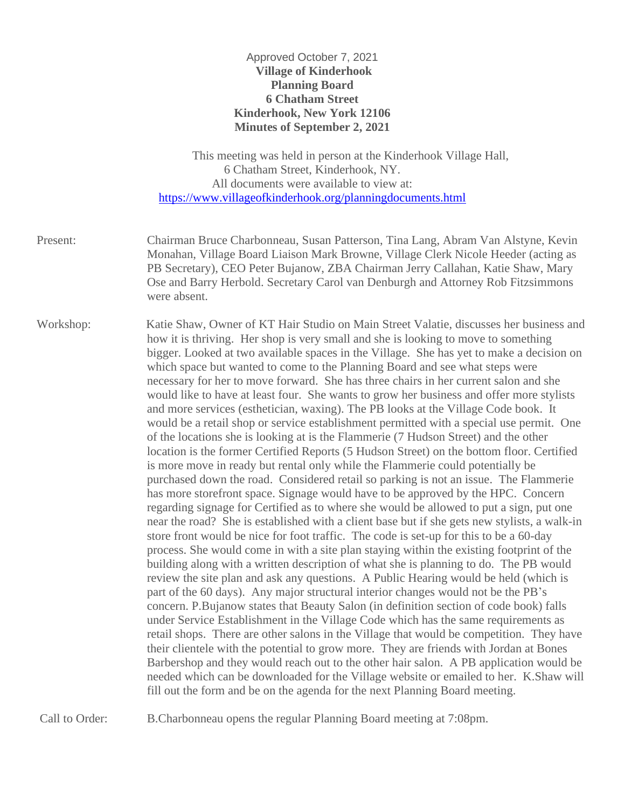## Approved October 7, 2021 **Village of Kinderhook Planning Board 6 Chatham Street Kinderhook, New York 12106 Minutes of September 2, 2021**

| This meeting was held in person at the Kinderhook Village Hall, |
|-----------------------------------------------------------------|
| 6 Chatham Street, Kinderhook, NY.                               |
| All documents were available to view at:                        |
| https://www.villageofkinderhook.org/planningdocuments.html      |

Present: Chairman Bruce Charbonneau, Susan Patterson, Tina Lang, Abram Van Alstyne, Kevin Monahan, Village Board Liaison Mark Browne, Village Clerk Nicole Heeder (acting as PB Secretary), CEO Peter Bujanow, ZBA Chairman Jerry Callahan, Katie Shaw, Mary Ose and Barry Herbold. Secretary Carol van Denburgh and Attorney Rob Fitzsimmons were absent.

Workshop: Katie Shaw, Owner of KT Hair Studio on Main Street Valatie, discusses her business and how it is thriving. Her shop is very small and she is looking to move to something bigger. Looked at two available spaces in the Village. She has yet to make a decision on which space but wanted to come to the Planning Board and see what steps were necessary for her to move forward. She has three chairs in her current salon and she would like to have at least four. She wants to grow her business and offer more stylists and more services (esthetician, waxing). The PB looks at the Village Code book. It would be a retail shop or service establishment permitted with a special use permit. One of the locations she is looking at is the Flammerie (7 Hudson Street) and the other location is the former Certified Reports (5 Hudson Street) on the bottom floor. Certified is more move in ready but rental only while the Flammerie could potentially be purchased down the road. Considered retail so parking is not an issue. The Flammerie has more storefront space. Signage would have to be approved by the HPC. Concern regarding signage for Certified as to where she would be allowed to put a sign, put one near the road? She is established with a client base but if she gets new stylists, a walk-in store front would be nice for foot traffic. The code is set-up for this to be a 60-day process. She would come in with a site plan staying within the existing footprint of the building along with a written description of what she is planning to do. The PB would review the site plan and ask any questions. A Public Hearing would be held (which is part of the 60 days). Any major structural interior changes would not be the PB's concern. P.Bujanow states that Beauty Salon (in definition section of code book) falls under Service Establishment in the Village Code which has the same requirements as retail shops. There are other salons in the Village that would be competition. They have their clientele with the potential to grow more. They are friends with Jordan at Bones Barbershop and they would reach out to the other hair salon. A PB application would be needed which can be downloaded for the Village website or emailed to her. K.Shaw will fill out the form and be on the agenda for the next Planning Board meeting.

Call to Order: B.Charbonneau opens the regular Planning Board meeting at 7:08pm.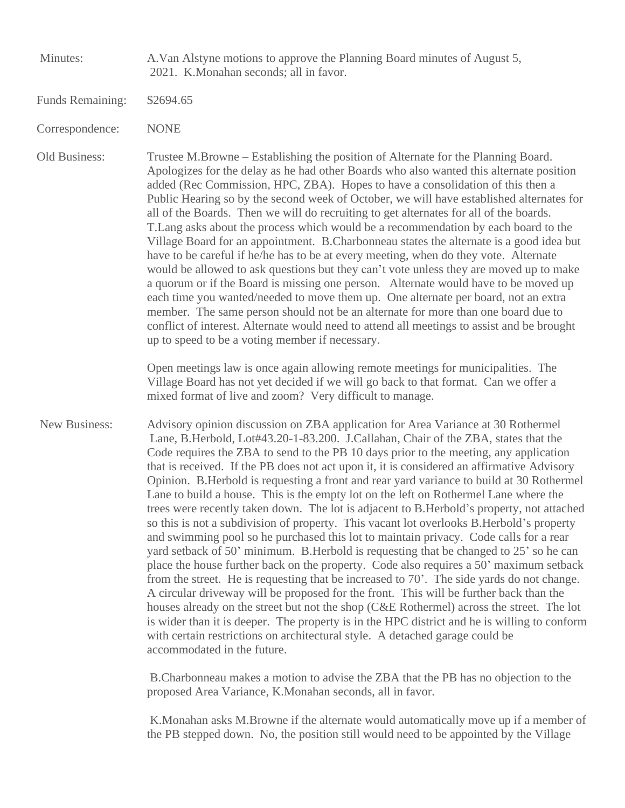Minutes: A.Van Alstyne motions to approve the Planning Board minutes of August 5, 2021. K.Monahan seconds; all in favor.

- Funds Remaining: \$2694.65
- Correspondence: NONE

Old Business: Trustee M.Browne – Establishing the position of Alternate for the Planning Board. Apologizes for the delay as he had other Boards who also wanted this alternate position added (Rec Commission, HPC, ZBA). Hopes to have a consolidation of this then a Public Hearing so by the second week of October, we will have established alternates for all of the Boards. Then we will do recruiting to get alternates for all of the boards. T.Lang asks about the process which would be a recommendation by each board to the Village Board for an appointment. B.Charbonneau states the alternate is a good idea but have to be careful if he/he has to be at every meeting, when do they vote. Alternate would be allowed to ask questions but they can't vote unless they are moved up to make a quorum or if the Board is missing one person. Alternate would have to be moved up each time you wanted/needed to move them up. One alternate per board, not an extra member. The same person should not be an alternate for more than one board due to conflict of interest. Alternate would need to attend all meetings to assist and be brought up to speed to be a voting member if necessary.

> Open meetings law is once again allowing remote meetings for municipalities. The Village Board has not yet decided if we will go back to that format. Can we offer a mixed format of live and zoom? Very difficult to manage.

New Business: Advisory opinion discussion on ZBA application for Area Variance at 30 Rothermel Lane, B.Herbold, Lot#43.20-1-83.200. J.Callahan, Chair of the ZBA, states that the Code requires the ZBA to send to the PB 10 days prior to the meeting, any application that is received. If the PB does not act upon it, it is considered an affirmative Advisory Opinion. B.Herbold is requesting a front and rear yard variance to build at 30 Rothermel Lane to build a house. This is the empty lot on the left on Rothermel Lane where the trees were recently taken down. The lot is adjacent to B.Herbold's property, not attached so this is not a subdivision of property. This vacant lot overlooks B.Herbold's property and swimming pool so he purchased this lot to maintain privacy. Code calls for a rear yard setback of 50' minimum. B.Herbold is requesting that be changed to 25' so he can place the house further back on the property. Code also requires a 50' maximum setback from the street. He is requesting that be increased to 70'. The side yards do not change. A circular driveway will be proposed for the front. This will be further back than the houses already on the street but not the shop (C&E Rothermel) across the street. The lot is wider than it is deeper. The property is in the HPC district and he is willing to conform with certain restrictions on architectural style. A detached garage could be accommodated in the future.

> B.Charbonneau makes a motion to advise the ZBA that the PB has no objection to the proposed Area Variance, K.Monahan seconds, all in favor.

K.Monahan asks M.Browne if the alternate would automatically move up if a member of the PB stepped down. No, the position still would need to be appointed by the Village